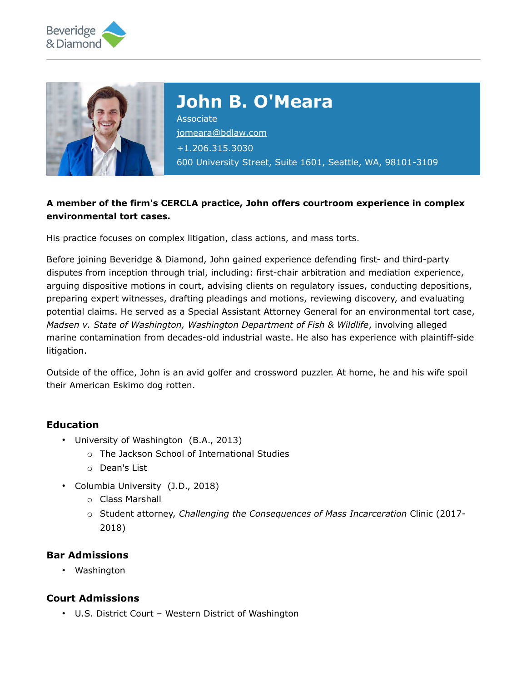



# **John B. O'Meara**

Associate [jomeara@bdlaw.com](mailto:jomeara@bdlaw.com) +1.206.315.3030 600 University Street, Suite 1601, Seattle, WA, 98101-3109

### **A member of the firm's CERCLA practice, John offers courtroom experience in complex environmental tort cases.**

His practice focuses on complex litigation, class actions, and mass torts.

Before joining Beveridge & Diamond, John gained experience defending first- and third-party disputes from inception through trial, including: first-chair arbitration and mediation experience, arguing dispositive motions in court, advising clients on regulatory issues, conducting depositions, preparing expert witnesses, drafting pleadings and motions, reviewing discovery, and evaluating potential claims. He served as a Special Assistant Attorney General for an environmental tort case, *Madsen v. State of Washington, Washington Department of Fish & Wildlife*, involving alleged marine contamination from decades-old industrial waste. He also has experience with plaintiff-side litigation.

Outside of the office, John is an avid golfer and crossword puzzler. At home, he and his wife spoil their American Eskimo dog rotten.

#### **Education**

- University of Washington (B.A., 2013)
	- o The Jackson School of International Studies
	- o Dean's List
- Columbia University (J.D., 2018)
	- o Class Marshall
	- o Student attorney, *Challenging the Consequences of Mass Incarceration* Clinic (2017- 2018)

#### **Bar Admissions**

• Washington

#### **Court Admissions**

• U.S. District Court – Western District of Washington